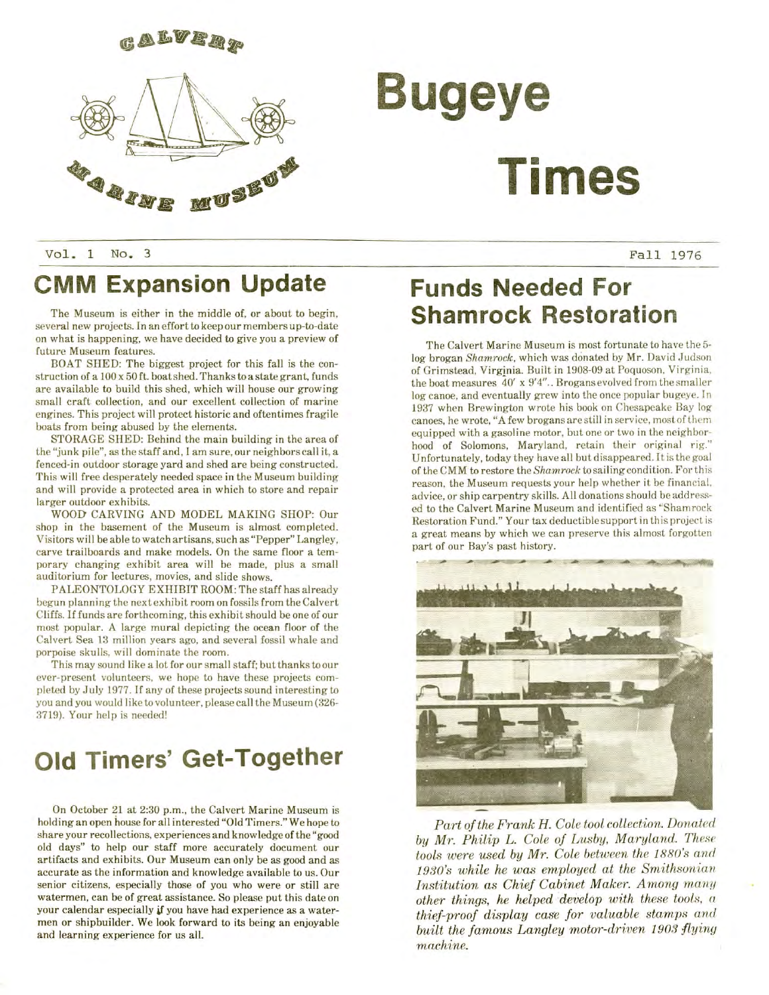

# **Bugeye** 30H B **Times**

Vol. 1 No. 3 Pall 1976

### **CMM Expansion Update**

The Museum is either in the middle of, or about to begin, several new projects. In an effort to keep our members up-to-date on what is happening, we have decided to give you a preview of future Museum features.

BOAT SHED: The biggest project for this fall is the construction of a 100x50 ft. boat shed. Thanks to a state grant, funds are available to build this shed, which will house our growing small craft collection, and our excellent collection of marine engines. This project will protect historic and oftentimes fragile boats from being abused by the elements,

STORAGE SHED: Behind the main building in the area of the "junk pile", as the staff and, I am sure, our neighbors call it, a fenced-in outdoor storage yard and shed are being constructed. This will free desperately needed space in the Museum building and will provide a protected area in which to store and repair larger outdoor exhibits.

WOOD- CARVING AND MODEL MAKING SHOP: Our shop in the basement of the Museum is almost completed. Visitors will be able to watch artisans, such as "Pepper" Langley, carve trailboards and make models. On the same floor a temporary changing exhibit area will be made, plus a small auditorium for lectures, movies, and slide shows.

PALEONTOLOGY EXHIBIT ROOM: The staff has already begun planning the next exhibit room on fossils from the Calvert Cliffs. If funds are forthcoming, this exhibit should be one of our most popular. A large mural depicting the ocean floor of the Calvert Sea 13 million years ago, and several fossil whale and porpoise skulls, will dominate the room.

This may sound like a lot for our small staff; but thanks to our ever-present volunteers, we hope to have these projects completed by July 1977. If any of these projects sound interesting to you and you would like to volunteer, please call the Museum (326- 3719). Your help is needed!

### **Old Timers' Get-Together**

On October 21 at 2:30 p.m., the Calvert Marine Museum is holding an open house for all interested "Old Timers." We hope to share your recollections, experiences and knowledge of the "good old days" to help our staff more accurately document our artifacts and exhibits. Our Museum can only be as good and as accurate as the information and knowledge available to us. Our senior citizens, especially those of you who were or still are watermen, can be of great assistance. So please put this date on your calendar especially if you have had experience as a watermen or shipbuilder. We look forward to its being an enjoyable and learning experience for us all.

### **Funds Needed For Shamrock Restoration**

The Calvert Marine Museum is most fortunate to have the 5 log brogan *Shamrock,* which was donated by Mr. David Judson of Grimstead, Virginia. Built in 1908-09 at Poquoson, Virginia, the boat measures 40' x 9'4".. Brogans evolved from the smaller log canoe, and eventually grew into the once popular bugeye. In 1937 when Brewington wrote his book on Chesapeake Bay log canoes, he wrote, "A few brogans are still in service, most of them equipped with a gasoline motor, but one or two in the neighborhood of Solomons, Maryland, retain their original rig." Unfortunately, today they have all but disappeared. It is the goal of the CMM to restore the *Shamrock* to sailing condition. For this reason, the Museum requests your help whether it be financial, advice, or ship carpentry skills. All donations should be addressed to the Calvert Marine Museum and identified as "Shamrock Restoration Fund." Your tax deductible support in this project is a great means by which we can preserve this almost forgotten part of our Bay's past history.



*Part of the Frank H. Cole tool collection. Donated by Mr. Philip L. Cole of Lusby, Maryland. These tools were used by Mr. Cole between the 1880's and 1930's while he was employed at the Smithsonian Institution as Chief Cabinet Maker. Among many other things, he helped develop with these tools, a thief-proof display case for valuable stamps and built the famous Langley motor-driven 1903 flying machine.*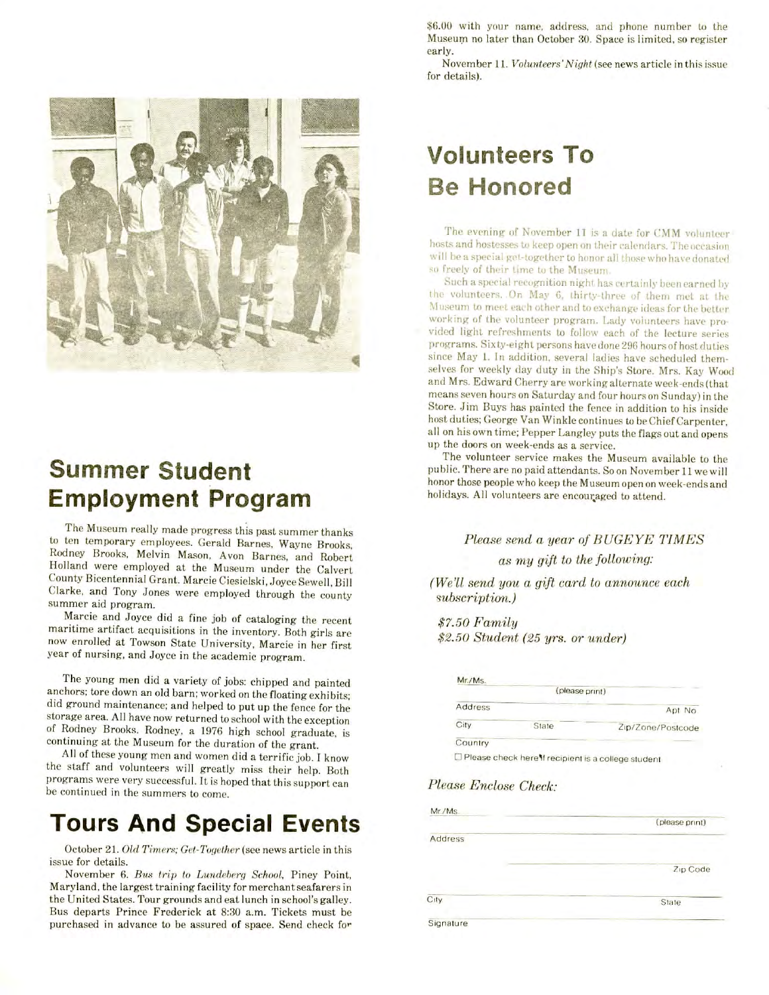

### **Summer Student Employment Program**

The Museum really made progress this past summer thanks to ten temporary employees. Gerald Barnes, Wayne Brooks, Rodney Brooks, Melvin Mason, Avon Barnes, and Robert Holland were employed at the Museum under the Calvert County Bicentennial Grant. Marcie Ciesielski, Joyce Sewell, Bill Clarke, and Tony Jones were employed through the county summer aid program.

Marcie and Joyce did a fine job of cataloging the recent maritime artifact acquisitions in the inventory. Both girls are now enrolled at Towson State University, Marcie in her first year of nursing, and Joyce in the academic program.

The young men did a variety of jobs: chipped and painted anchors; tore down an old barn; worked on the floating exhibits; did ground maintenance; and helped to put up the fence for the storage area. All have now returned to school with the exception of Rodney Brooks. Rodney, a 1976 high school graduate, is continuing at the Museum for the duration of the grant.

All of these young men and women did a terrific job. I know the staff and volunteers will greatly miss their help. Both programs were very successful. It is hoped that this support can be continued in the summers to come.

### **Tours And Special Events**

October 21. Old Timers; Get-Together (see news article in this issue for details.

November 6. Bus trip to Lundeberg School, Piney Point, Maryland, the largest training facility for merchant seafarers in the United States. Tour grounds and eat lunch in school's galley. Bus departs Prince Frederick at 8:30 a.m. Tickets must be purchased in advance to be assured of space. Send check for

\$6.00 with your name, address, and phone number to the Museum no later than October 30. Space is limited, so register early.

November 11. *Volunteers'Night* (see news article in this issue for details).

## **Volunteers To Be Honored**

The evening of November 11 is a date for CMM volunteer hosts and hostesses to keep open on their calendars. The occasion will be a special get-together to honor all those who have donated so freely of their time to the Museum.

Such a special recognition night has certainly been earned by the volunteers. .On May 6, thirty-three of them met at the Museum to meet each other and to exchange ideas for the better working of the volunteer program. Lady volunteers have provided light refreshments to follow each of the lecture series programs. Sixty-eight persons have done 296 hours of host duties since May 1. In addition, several ladies have scheduled themselves for weekly day duty in the Ship's Store. Mrs. Kay Wood and Mrs- Edward Cherry are working alternate week-ends (that means seven hours on Saturday and four hours on Sunday) in the; Store. Jim Buys has painted the fence in addition to his inside host duties; George Van Winkle continues to be Chief Carpenter, all on his own time; Penner Langley puts the flags out and opens. In the doors on week-ends as a service. up the doors on week-ends as a service.<br>The volunteer service makes the Museum available to the

public. There are no paid attendants. Soon November 11 we will honor those people who keep the Museum open on week-ends and holidays. All volunteers are encouraged to attend.

> *Please send a year of BUGEYE TIMES an my gift to the following:*

*(We'll send you a gift card to announce each subscription.)*

*\$7.50 Family \$2.50 Student (25 yrs. or under)*

| (please print) |       |                   |  |
|----------------|-------|-------------------|--|
| Address        |       | Apt No.           |  |
| City           | State | Zip/Zone/Postcode |  |

 $\square$  Please check here if recipient is a college student

#### *Please Enclose Check;*

|           | (please print) |
|-----------|----------------|
| Address   |                |
|           | Zip Code       |
| City      | State          |
| Signature |                |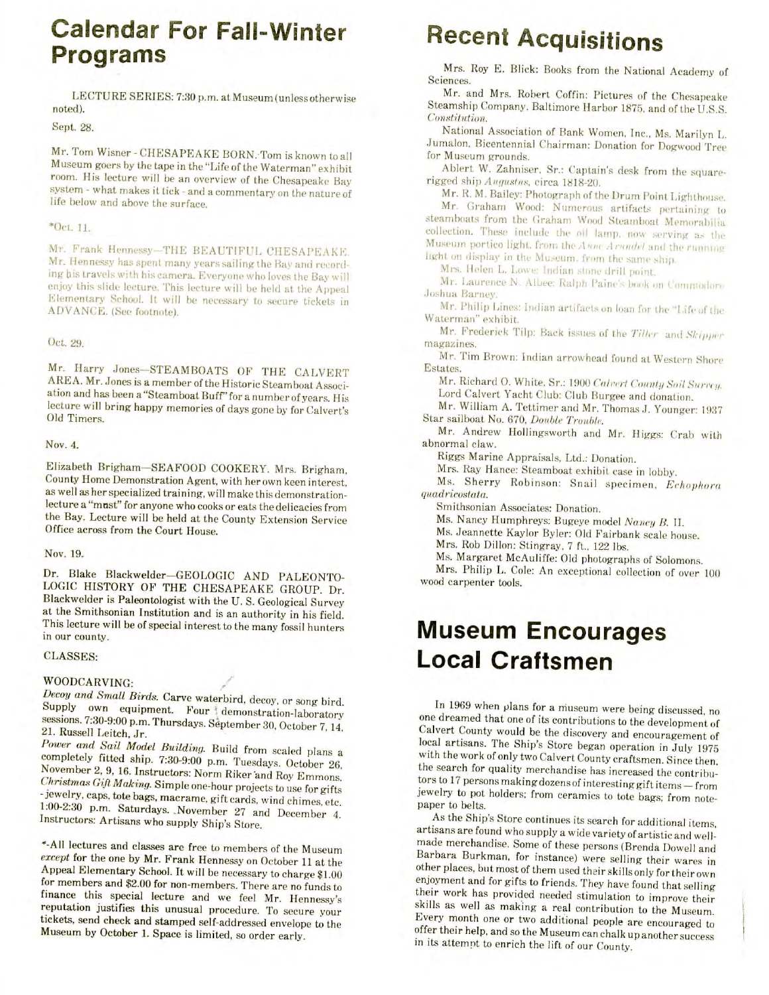### **Calendar For Fall-Winter Programs**

LECTURE SERIES: 7:30 p.m. at Museum (unless otherwise noted).

Sept. 28.

Mr. Tom Wisner - CHESAPEAKE BORN. Tom is known to all Museum goers by the tape in the "Life of the Waterman" exhibit room. His lecture will be an overview of the Chesapeake Bay system - what makes it tiek - and a commentary on the nature of life below and above the surface.

#### \*Oct, 11.

Mr. Frank Hennessy-THK BEAUTIFUL CHESAPEAKE. Mr. Hennessy has spent many years sailing the Bay and recording his travels with his camera. Everyone who loves the Bay will enjoy this slide lecture. This lecture will be held at the Appeal Elementary School. It will be necessary to secure tickets in ADVANCE. (See footnote).

#### Oct. 29.

Mr. Harry Jones—STEAMBOATS OF THE CALVERT AREA. Mr. Jones is a member of the Historic Steamboat Association and has been a "Steamboat Buff" for a number of years. His lecture will bring happy memories of days gone by for Calvert's Old Timers.

#### Nov. 4.

Elizabeth Brigham-SEAFOOD COOKERY. Mrs. Brigham, County Home Demonstration Agent, with her own keen interest, as well as her specialized training, will make this demonstrationlecture a "mnst" for anyone who cooks or eats the delicacies from the Bay. Lecture will be held at the County Extension Service Office across from the Court House.

#### Nov. 19,

Dr. Blake Blackwelder—GEOLOGIC AND PALEONTO-LOGIC HISTORY OF THE CHESAPEAKE GROUP. Dr. Blackwelder is Paleontologist with the U. S. Geological Survey at the Smithsonian Institution and is an authority in his field. This lecture will be of special interest to the many fossil hunters in our county.

#### CLASSES:

#### WOODCARVING:

*Decoy and Small Birds.* Carve waterbird, decoy, or song bird. Supply own equipment. Four demonstration-laboratory sessions. 7:30-9:00 p.m. Thursdays. September 30, October 7,14, 21. Russell Leitch, Jr.

*Power and Sail Model Building.* Build from scaled plans a completely fitted ship. 7:30-9:00 p.m. Tuesdays. October 26, November 2, 9, 16. Instructors: Norm Riker and Roy Emmons. *Christmas Gift Making.* Simple one-hour projects to use for gifts -jewelry, caps, tote bags, macrame, gift cards, wind chimes, etc. 1:00-2:30 p.m. Saturdays. .November 27 and December 4. Instructors: Artisans who supply Ship's Store.

\*-AIl lectures and classes are free to members of the Museum *except* for the one by Mr. Frank Hennessy on October 11 at the Appeal Elementary School. It will be necessary to charge \$1.00 for members and \$2.00 for non-members. There are no funds to finance this special lecture and we feel Mr. Hennessy's reputation justifies this unusual procedure. To secure your tickets, send check and stamped self-addressed envelope to the Museum by October 1. Space is limited, so order early.

# **Recent Acquisitions**

Mrs. Roy E. Blick: Books from the National Academy of  $Mrs.$ ences.<br>Robert Coffin: Pictures of the Chesapeakees of the Chesapeakees of the Chesapeakees of the Chesapeakees of the

Mr. and Mrs. Robert Coffin: Pictures of the Chesapeake *Constitution.*  $Sittutton.$ 

National Association of Bank Women, Inc., Ms. Marilyn L. Jumalon, Bicentennial Chairman: Donation for Dogwood Tree<br>for Museum grounds. Museum grounds.

Ablert W. Zahniser, Sr.: Captair rigged ship Augustus, circa 1818-20.

Mr. R. M. Bailey: Photograph of the Drum Point Lighthouse. Mr. Graham Wood: Numerous artifacts pertaining to steamboats from the Graham Wood Steamboat Memorabilia. collection. These include the oil lamp, now serving as the Museum portico light, from the Anne Arnadel and the running. light on display in the Museum, from the same ship.

Mrs. Helen L. Lowe: Indian stone drill point.

Mr. Laurence N. Albee: Ralph Paine's book on Commodore Joshua Barney. Mr. Philip Lines: Indian artifacts on loan for the "Life of the

Wr. Philip Lines: Mr. Frederick Tilp: Back issues of the *Tiller* and *Slciftfifr*

mr. r red Mr. Tim Brown: Indian arrowhead found at Western Shore Shore Shore Shore Shore Shore Shore Shore Shore Shore Shore Shore Shore Shore Shore Shore Shore Shore Shore Shore Shore Shore Shore Shore Shore Shore Shore Shore Shore

 $MT-1$ Mr. Richard 0. White, Sr.: 1900 *Calt-cri ('otnitij Soli* .SVmv/.

Ir. Richard O. White, Sr.: 1900 Calvert County Soil Su Lord Calvert Yacht Club: Club Burgee and donation.

Mr. William A. Tettimer and Mr. Thomas J. Younger: 1937 Star sailboat No. 670, Double Trouble.

Mr. Andrew Hollingsworth and Mr. Higgs: Crab with abnormal claw. rmai claw.

ggs Marine Appraisals, Ltd.: Donation.

Mrs. Ray Hance: Steamboat exhibit case in lobby.

Ms. Sherry Robinson: Snail specimen, *Echophora* quadricostata.  $\frac{1}{\sqrt{2}}$ 

mithsonian Associates: Donation.

Ms. Nancy Humphreys: Bugeye model Nancy B. II.

Ms. Jeannette Kaylor Byler: Old Fairbank scale house.

Mrs. Rob Dillon: Stingray, 7 ft., 122 lbs.

Ms. Margaret McAuliffe: Old photographs of Solomons.

Mrs. Philip L. Cole: An exceptional collection of over 100 wood carpenter tools.

### **Museum Encourages Local Craftsmen**

 $1969$  when plans for a museum were being discussed, now  $\frac{1}{2}$ In 1969 when plans for a museum were being discussed, no one dreamed that one of its contributions to the development of Calvert County would be the discovery and encouragement of local artisans. The Ship's Store began operation in July 1975 with the work of only two Calvert County craftsmen. Since then, the search for quality merchandise has increased the contributors to 17 persons making dozens of interesting gift items - from jewelry to pot holders; from ceramics to tote bags; from note-<br>paper to belts.  $\alpha$  to be the Ship's Store continues its search for additional items,  $\alpha$ 

As the ships store continues its search for additional items. artisans are found who supply a wide variety of artistic and wellmade merchandise. Some of these persons (Brenda Dowell and Barbara Burkman, for instance) were selling their wares in other places, but most of them used their skills only for their own enjoyment and for gifts to friends. They have found that selling their work has provided needed stimulation to improve their skills as well as making a real contribution to the Museum. Every month one or two additional people are encouraged to offer their help, and so the Museum can chalk up another success<br>in its attempt to enrich the lift of our County.